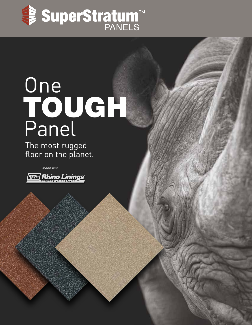

# TOUGH **One** Panel

The most rugged floor on the planet.

*Made with*